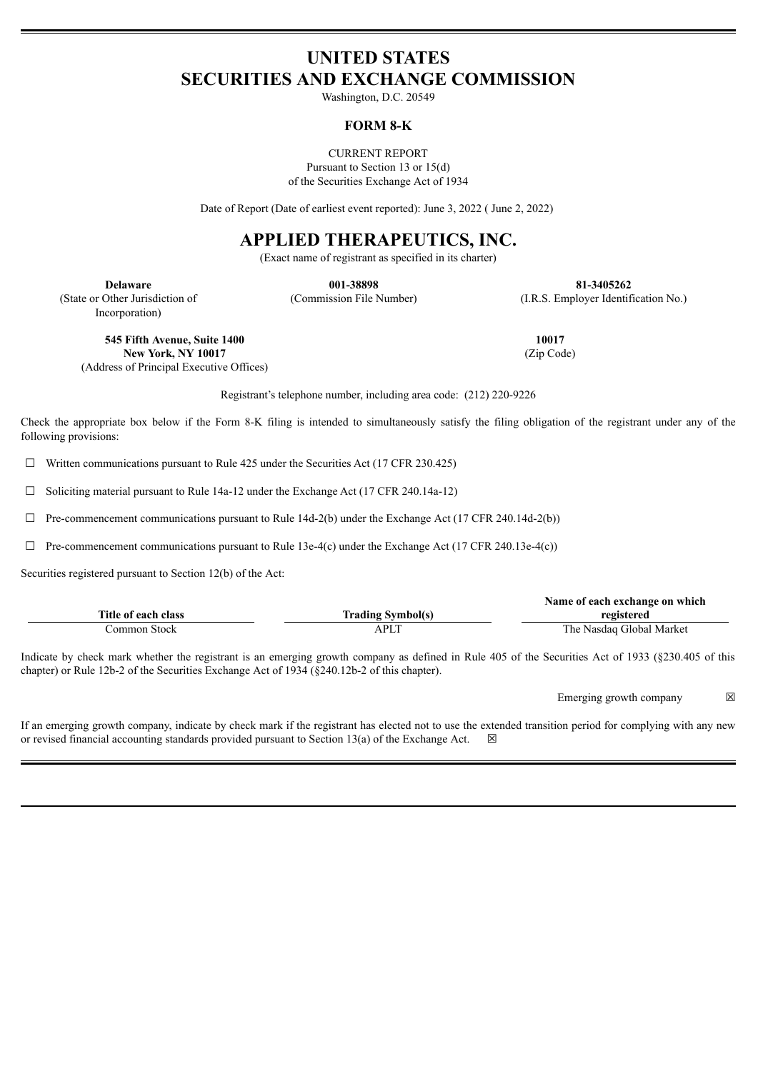# **UNITED STATES SECURITIES AND EXCHANGE COMMISSION**

Washington, D.C. 20549

### **FORM 8-K**

CURRENT REPORT Pursuant to Section 13 or 15(d) of the Securities Exchange Act of 1934

Date of Report (Date of earliest event reported): June 3, 2022 ( June 2, 2022)

# **APPLIED THERAPEUTICS, INC.**

(Exact name of registrant as specified in its charter)

(State or Other Jurisdiction of Incorporation)

**Delaware 001-38898 81-3405262** (Commission File Number) (I.R.S. Employer Identification No.)

**545 Fifth Avenue, Suite 1400 New York, NY 10017** (Address of Principal Executive Offices)

Registrant's telephone number, including area code: (212) 220-9226

Check the appropriate box below if the Form 8-K filing is intended to simultaneously satisfy the filing obligation of the registrant under any of the following provisions:

 $\Box$  Written communications pursuant to Rule 425 under the Securities Act (17 CFR 230.425)

 $\Box$  Soliciting material pursuant to Rule 14a-12 under the Exchange Act (17 CFR 240.14a-12)

 $\Box$  Pre-commencement communications pursuant to Rule 14d-2(b) under the Exchange Act (17 CFR 240.14d-2(b))

 $\Box$  Pre-commencement communications pursuant to Rule 13e-4(c) under the Exchange Act (17 CFR 240.13e-4(c))

Securities registered pursuant to Section 12(b) of the Act:

|                     |                          | Name of each exchange on which |
|---------------------|--------------------------|--------------------------------|
| Title of each class | <b>Trading Symbol(s)</b> | registered                     |
| Common Stock-       | APLT                     | The Nasdaq Global Market       |

Indicate by check mark whether the registrant is an emerging growth company as defined in Rule 405 of the Securities Act of 1933 (§230.405 of this chapter) or Rule 12b-2 of the Securities Exchange Act of 1934 (§240.12b-2 of this chapter).

Emerging growth company  $\boxtimes$ 

If an emerging growth company, indicate by check mark if the registrant has elected not to use the extended transition period for complying with any new or revised financial accounting standards provided pursuant to Section 13(a) of the Exchange Act.  $\boxtimes$ 

**10017** (Zip Code)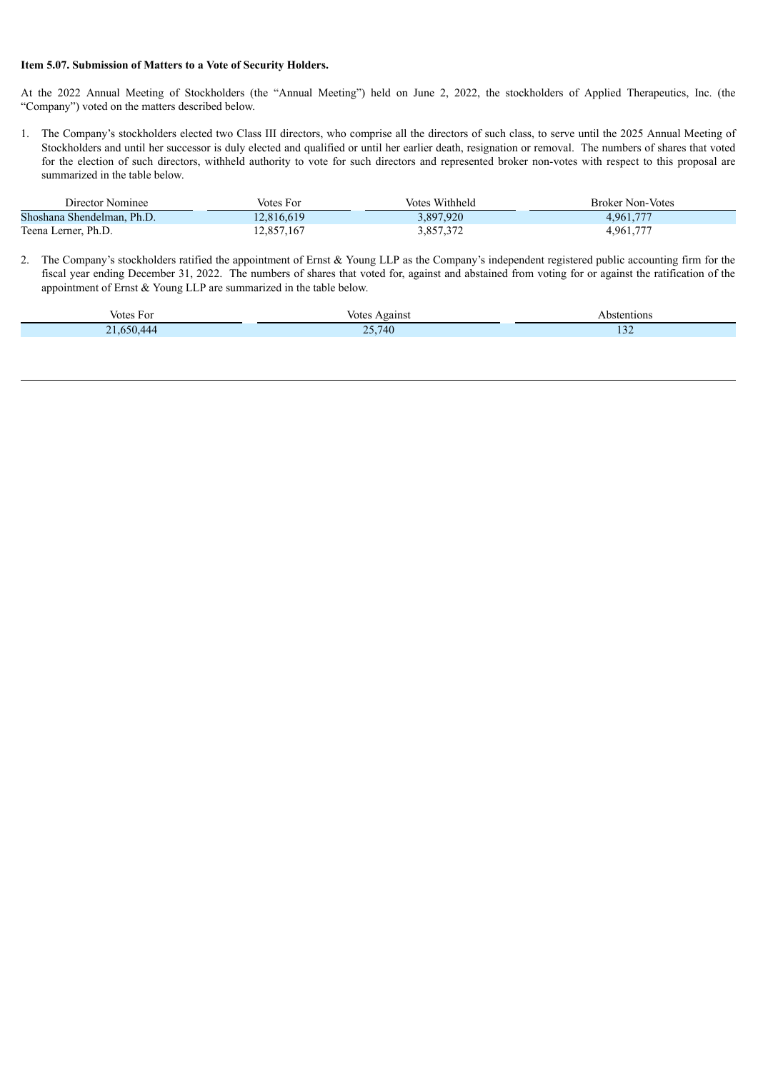#### **Item 5.07. Submission of Matters to a Vote of Security Holders.**

At the 2022 Annual Meeting of Stockholders (the "Annual Meeting") held on June 2, 2022, the stockholders of Applied Therapeutics, Inc. (the "Company") voted on the matters described below.

1. The Company's stockholders elected two Class III directors, who comprise all the directors of such class, to serve until the 2025 Annual Meeting of Stockholders and until her successor is duly elected and qualified or until her earlier death, resignation or removal. The numbers of shares that voted for the election of such directors, withheld authority to vote for such directors and represented broker non-votes with respect to this proposal are summarized in the table below.

| Director Nominee           | Votes For  | Votes Withheld | <b>Broker Non-Votes</b> |
|----------------------------|------------|----------------|-------------------------|
| Shoshana Shendelman, Ph.D. | 12,816,619 | 3,897,920      | 4.961.777               |
| Teena Lerner, Ph.D.        | 12,857,167 | 3,857,372      | 4,961,777               |

2. The Company's stockholders ratified the appointment of Ernst & Young LLP as the Company's independent registered public accounting firm for the fiscal year ending December 31, 2022. The numbers of shares that voted for, against and abstained from voting for or against the ratification of the appointment of Ernst & Young LLP are summarized in the table below.

| Votes For | votes<br>Against                                | bstentions     |
|-----------|-------------------------------------------------|----------------|
| 650.444   | 25.740<br>$\overline{\phantom{a}}$<br>$\cdot$ . | $\sim$<br>1.34 |